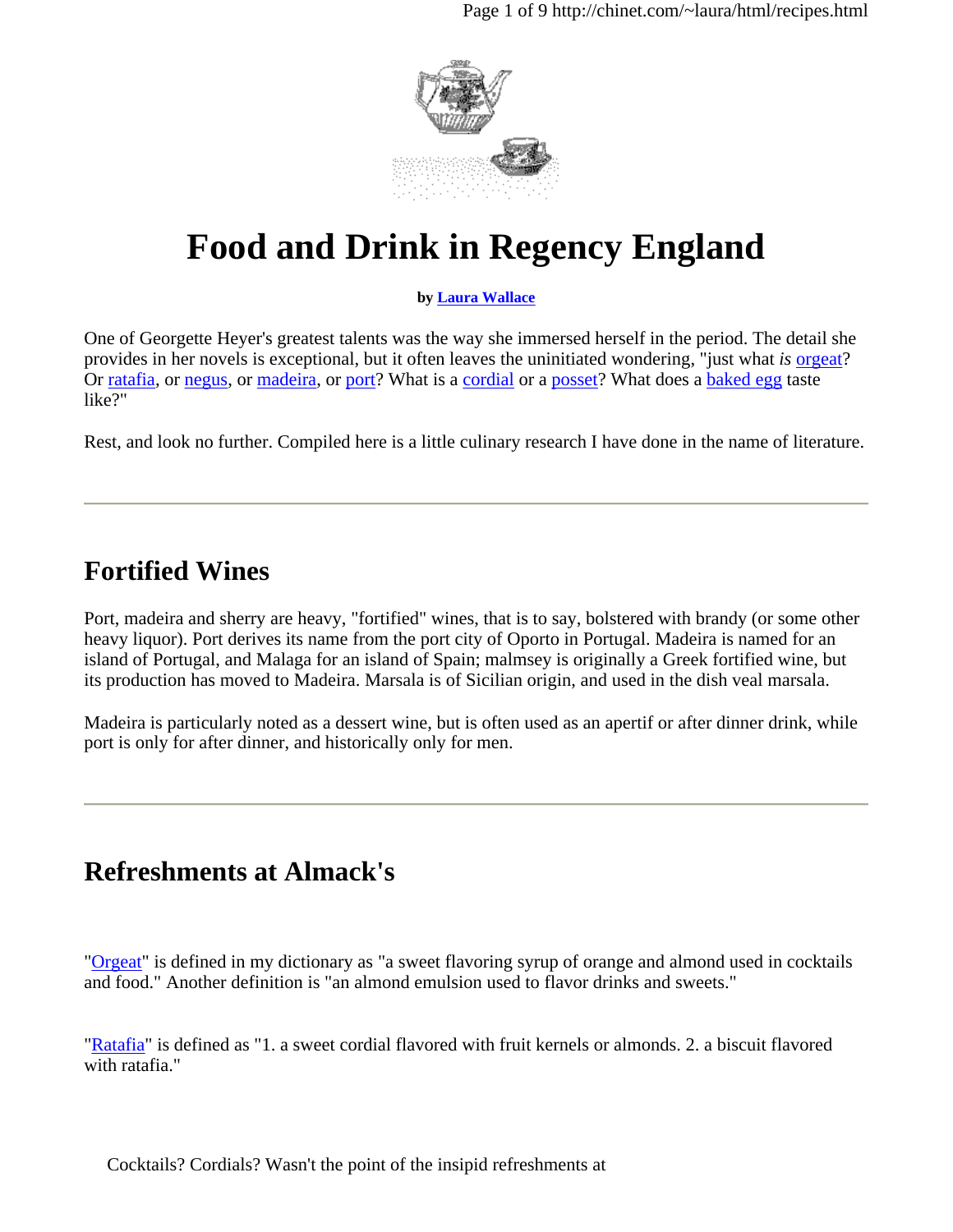

# **Food and Drink in Regency England**

#### **by Laura Wallace**

One of Georgette Heyer's greatest talents was the way she immersed herself in the period. The detail she provides in her novels is exceptional, but it often leaves the uninitiated wondering, "just what *is* orgeat? Or ratafia, or negus, or madeira, or port? What is a cordial or a posset? What does a baked egg taste like?"

Rest, and look no further. Compiled here is a little culinary research I have done in the name of literature.

## **Fortified Wines**

Port, madeira and sherry are heavy, "fortified" wines, that is to say, bolstered with brandy (or some other heavy liquor). Port derives its name from the port city of Oporto in Portugal. Madeira is named for an island of Portugal, and Malaga for an island of Spain; malmsey is originally a Greek fortified wine, but its production has moved to Madeira. Marsala is of Sicilian origin, and used in the dish veal marsala.

Madeira is particularly noted as a dessert wine, but is often used as an apertif or after dinner drink, while port is only for after dinner, and historically only for men.

## **Refreshments at Almack's**

"Orgeat" is defined in my dictionary as "a sweet flavoring syrup of orange and almond used in cocktails and food." Another definition is "an almond emulsion used to flavor drinks and sweets."

"Ratafia" is defined as "1. a sweet cordial flavored with fruit kernels or almonds. 2. a biscuit flavored with ratafia."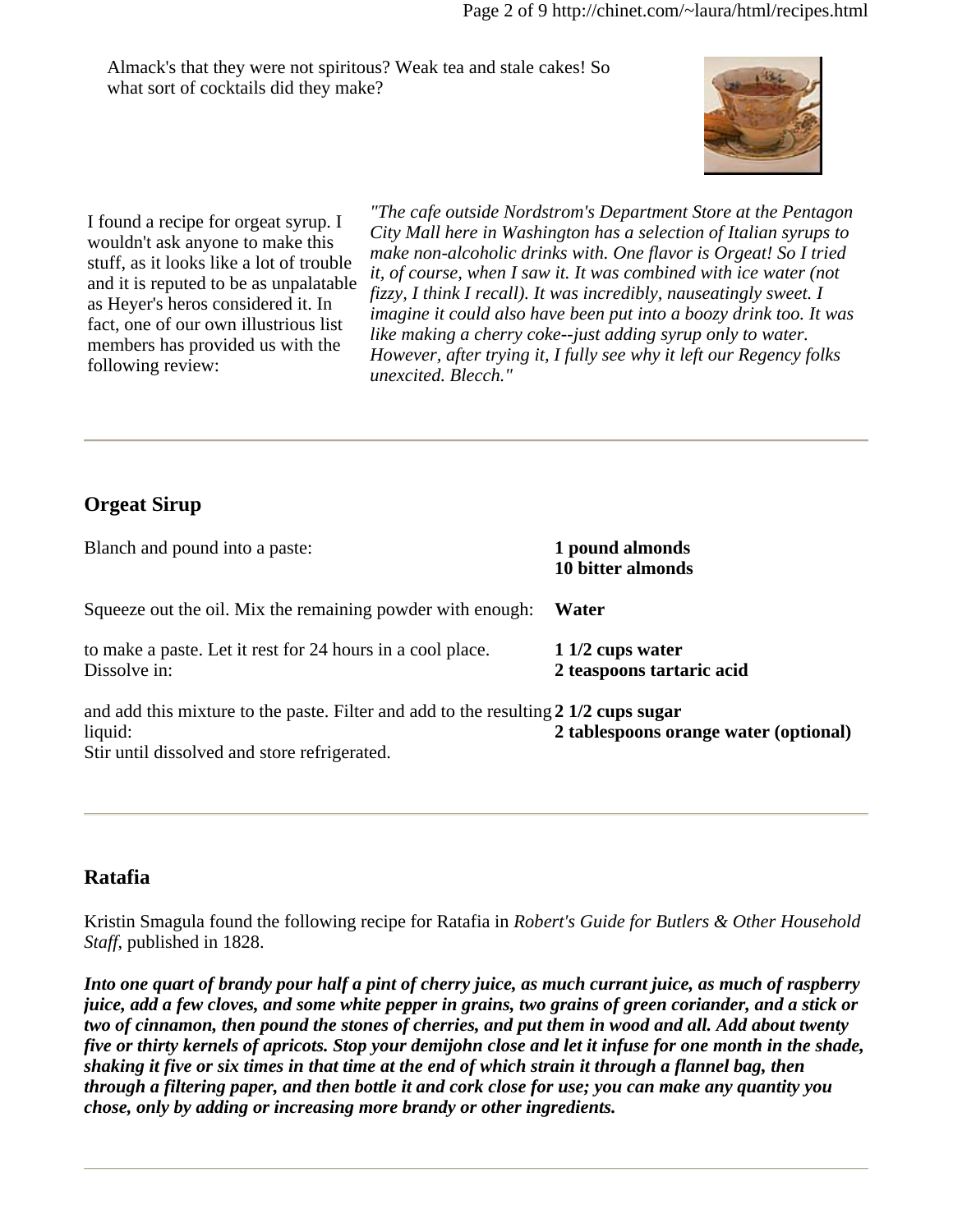Almack's that they were not spiritous? Weak tea and stale cakes! So what sort of cocktails did they make?



I found a recipe for orgeat syrup. I wouldn't ask anyone to make this stuff, as it looks like a lot of trouble and it is reputed to be as unpalatable as Heyer's heros considered it. In fact, one of our own illustrious list members has provided us with the following review:

*"The cafe outside Nordstrom's Department Store at the Pentagon City Mall here in Washington has a selection of Italian syrups to make non-alcoholic drinks with. One flavor is Orgeat! So I tried it, of course, when I saw it. It was combined with ice water (not fizzy, I think I recall). It was incredibly, nauseatingly sweet. I imagine it could also have been put into a boozy drink too. It was like making a cherry coke--just adding syrup only to water. However, after trying it, I fully see why it left our Regency folks unexcited. Blecch."*

### **Orgeat Sirup**

| Blanch and pound into a paste:                                                                                                                 | 1 pound almonds<br>10 bitter almonds           |
|------------------------------------------------------------------------------------------------------------------------------------------------|------------------------------------------------|
| Squeeze out the oil. Mix the remaining powder with enough:                                                                                     | Water                                          |
| to make a paste. Let it rest for 24 hours in a cool place.<br>Dissolve in:                                                                     | $11/2$ cups water<br>2 teaspoons tartaric acid |
| and add this mixture to the paste. Filter and add to the resulting 2 1/2 cups sugar<br>liquid:<br>Stir until dissolved and store refrigerated. | 2 tablespoons orange water (optional)          |

#### **Ratafia**

Kristin Smagula found the following recipe for Ratafia in *Robert's Guide for Butlers & Other Household Staff*, published in 1828.

*Into one quart of brandy pour half a pint of cherry juice, as much currant juice, as much of raspberry juice, add a few cloves, and some white pepper in grains, two grains of green coriander, and a stick or two of cinnamon, then pound the stones of cherries, and put them in wood and all. Add about twenty five or thirty kernels of apricots. Stop your demijohn close and let it infuse for one month in the shade, shaking it five or six times in that time at the end of which strain it through a flannel bag, then through a filtering paper, and then bottle it and cork close for use; you can make any quantity you chose, only by adding or increasing more brandy or other ingredients.*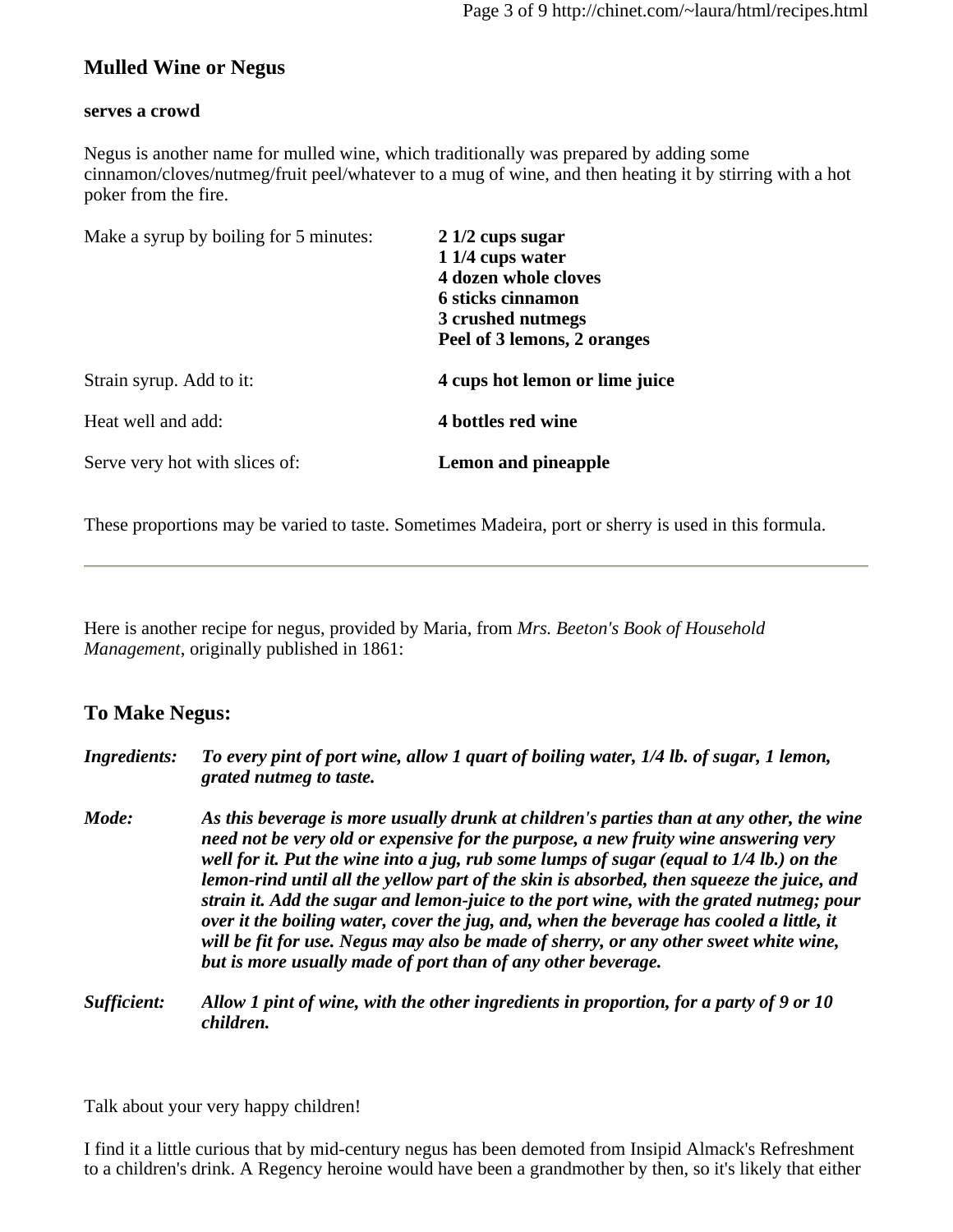#### **Mulled Wine or Negus**

#### **serves a crowd**

Negus is another name for mulled wine, which traditionally was prepared by adding some cinnamon/cloves/nutmeg/fruit peel/whatever to a mug of wine, and then heating it by stirring with a hot poker from the fire.

| Make a syrup by boiling for 5 minutes: | $21/2$ cups sugar<br>1 1/4 cups water<br>4 dozen whole cloves<br>6 sticks cinnamon<br>3 crushed nutmegs<br>Peel of 3 lemons, 2 oranges |
|----------------------------------------|----------------------------------------------------------------------------------------------------------------------------------------|
| Strain syrup. Add to it:               | 4 cups hot lemon or lime juice                                                                                                         |
| Heat well and add:                     | 4 bottles red wine                                                                                                                     |
| Serve very hot with slices of:         | <b>Lemon and pineapple</b>                                                                                                             |

These proportions may be varied to taste. Sometimes Madeira, port or sherry is used in this formula.

Here is another recipe for negus, provided by Maria, from *Mrs. Beeton's Book of Household Management*, originally published in 1861:

#### **To Make Negus:**

| <b>Ingredients:</b> | To every pint of port wine, allow 1 quart of boiling water, 1/4 lb. of sugar, 1 lemon,<br>grated nutmeg to taste.                                                                                                                                                                                                                                                                                                                                                                                                                                                                                                                                                                                                       |
|---------------------|-------------------------------------------------------------------------------------------------------------------------------------------------------------------------------------------------------------------------------------------------------------------------------------------------------------------------------------------------------------------------------------------------------------------------------------------------------------------------------------------------------------------------------------------------------------------------------------------------------------------------------------------------------------------------------------------------------------------------|
| Mode:               | As this beverage is more usually drunk at children's parties than at any other, the wine<br>need not be very old or expensive for the purpose, a new fruity wine answering very<br>well for it. Put the wine into a jug, rub some lumps of sugar (equal to 1/4 lb.) on the<br>lemon-rind until all the yellow part of the skin is absorbed, then squeeze the juice, and<br>strain it. Add the sugar and lemon-juice to the port wine, with the grated nutmeg; pour<br>over it the boiling water, cover the jug, and, when the beverage has cooled a little, it<br>will be fit for use. Negus may also be made of sherry, or any other sweet white wine,<br>but is more usually made of port than of any other beverage. |
| Sufficient:         | Allow 1 pint of wine, with the other ingredients in proportion, for a party of 9 or 10<br>children.                                                                                                                                                                                                                                                                                                                                                                                                                                                                                                                                                                                                                     |

Talk about your very happy children!

I find it a little curious that by mid-century negus has been demoted from Insipid Almack's Refreshment to a children's drink. A Regency heroine would have been a grandmother by then, so it's likely that either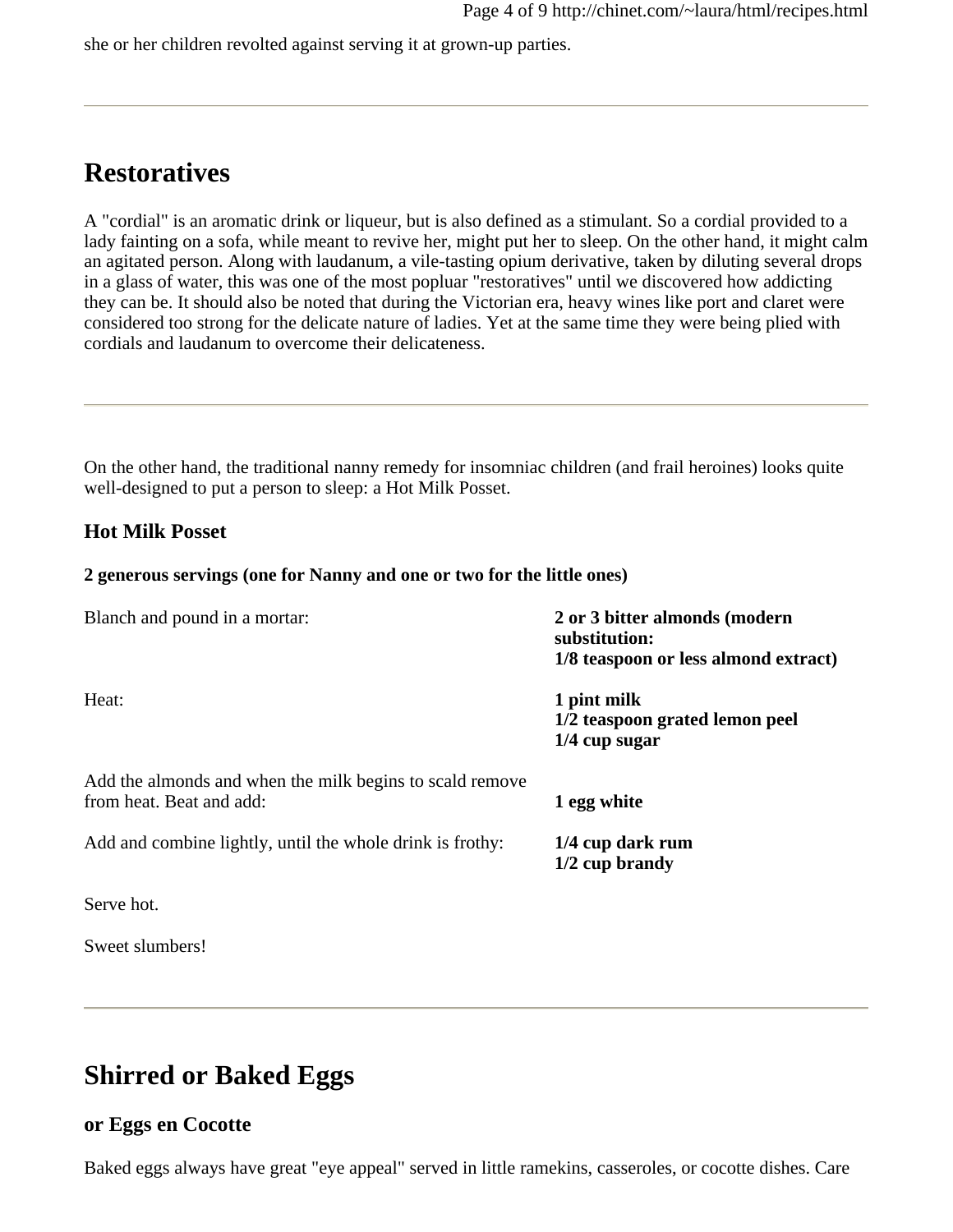she or her children revolted against serving it at grown-up parties.

## **Restoratives**

A "cordial" is an aromatic drink or liqueur, but is also defined as a stimulant. So a cordial provided to a lady fainting on a sofa, while meant to revive her, might put her to sleep. On the other hand, it might calm an agitated person. Along with laudanum, a vile-tasting opium derivative, taken by diluting several drops in a glass of water, this was one of the most popluar "restoratives" until we discovered how addicting they can be. It should also be noted that during the Victorian era, heavy wines like port and claret were considered too strong for the delicate nature of ladies. Yet at the same time they were being plied with cordials and laudanum to overcome their delicateness.

On the other hand, the traditional nanny remedy for insomniac children (and frail heroines) looks quite well-designed to put a person to sleep: a Hot Milk Posset.

#### **Hot Milk Posset**

#### **2 generous servings (one for Nanny and one or two for the little ones)**

| Blanch and pound in a mortar:                                                        | 2 or 3 bitter almonds (modern<br>substitution:<br>1/8 teaspoon or less almond extract) |
|--------------------------------------------------------------------------------------|----------------------------------------------------------------------------------------|
| Heat:                                                                                | 1 pint milk<br>1/2 teaspoon grated lemon peel<br>$1/4$ cup sugar                       |
| Add the almonds and when the milk begins to scald remove<br>from heat. Beat and add: | 1 egg white                                                                            |
| Add and combine lightly, until the whole drink is frothy:                            | 1/4 cup dark rum<br>$1/2$ cup brandy                                                   |
| Serve hot.                                                                           |                                                                                        |

Sweet slumbers!

## **Shirred or Baked Eggs**

#### **or Eggs en Cocotte**

Baked eggs always have great "eye appeal" served in little ramekins, casseroles, or cocotte dishes. Care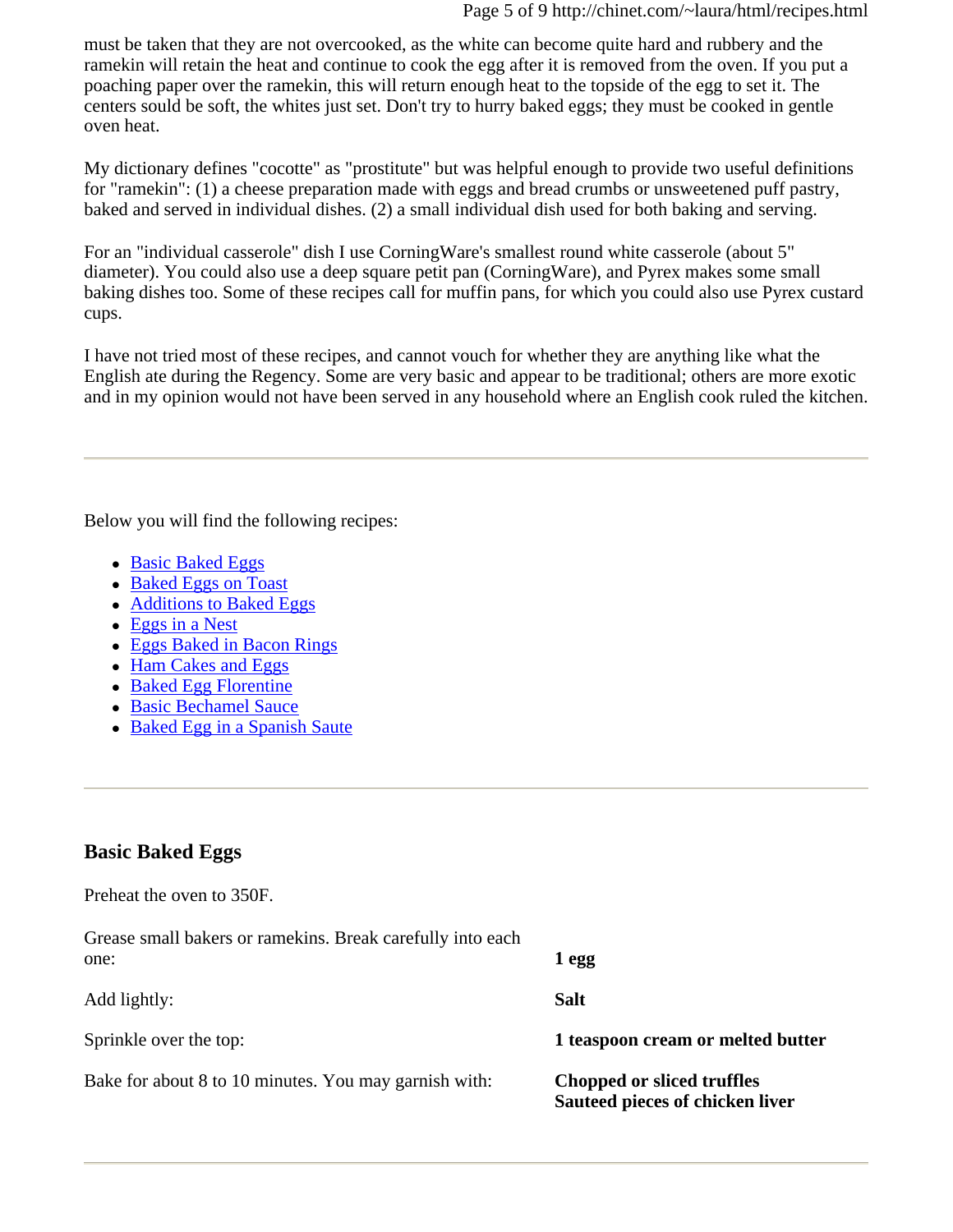must be taken that they are not overcooked, as the white can become quite hard and rubbery and the ramekin will retain the heat and continue to cook the egg after it is removed from the oven. If you put a poaching paper over the ramekin, this will return enough heat to the topside of the egg to set it. The centers sould be soft, the whites just set. Don't try to hurry baked eggs; they must be cooked in gentle oven heat.

My dictionary defines "cocotte" as "prostitute" but was helpful enough to provide two useful definitions for "ramekin": (1) a cheese preparation made with eggs and bread crumbs or unsweetened puff pastry, baked and served in individual dishes. (2) a small individual dish used for both baking and serving.

For an "individual casserole" dish I use CorningWare's smallest round white casserole (about 5" diameter). You could also use a deep square petit pan (CorningWare), and Pyrex makes some small baking dishes too. Some of these recipes call for muffin pans, for which you could also use Pyrex custard cups.

I have not tried most of these recipes, and cannot vouch for whether they are anything like what the English ate during the Regency. Some are very basic and appear to be traditional; others are more exotic and in my opinion would not have been served in any household where an English cook ruled the kitchen.

Below you will find the following recipes:

- Basic Baked Eggs
- Baked Eggs on Toast
- Additions to Baked Eggs
- $\bullet$  Eggs in a Nest
- Eggs Baked in Bacon Rings
- Ham Cakes and Eggs
- Baked Egg Florentine
- Basic Bechamel Sauce
- Baked Egg in a Spanish Saute

#### **Basic Baked Eggs**

Preheat the oven to 350F.

| Grease small bakers or ramekins. Break carefully into each<br>one: | 1 egg                                                         |
|--------------------------------------------------------------------|---------------------------------------------------------------|
| Add lightly:                                                       | <b>Salt</b>                                                   |
| Sprinkle over the top:                                             | 1 teaspoon cream or melted butter                             |
| Bake for about 8 to 10 minutes. You may garnish with:              | Chopped or sliced truffles<br>Sauteed pieces of chicken liver |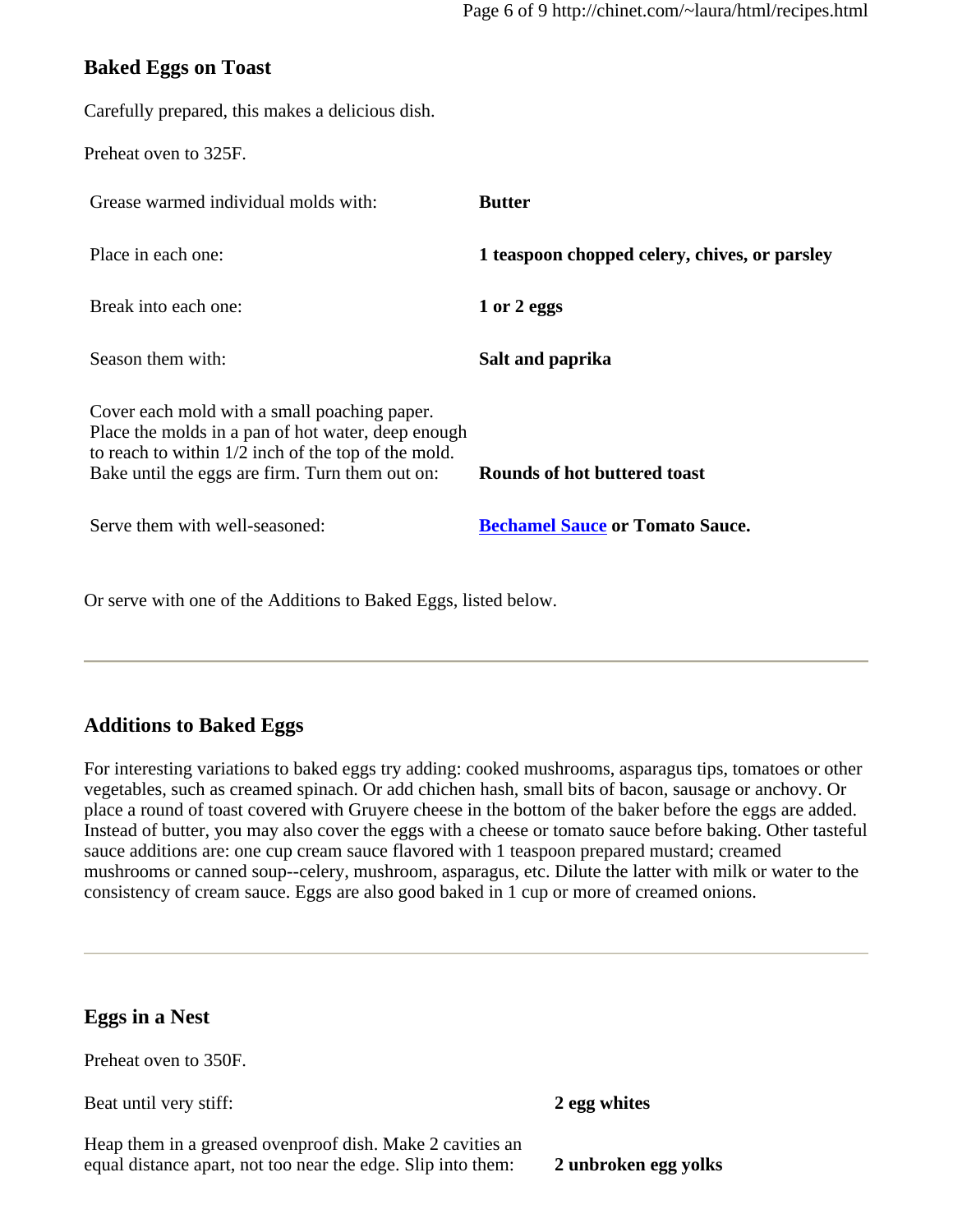#### **Baked Eggs on Toast**

Carefully prepared, this makes a delicious dish.

Preheat oven to 325F.

| Grease warmed individual molds with:                                                                                                                                                                           | <b>Butter</b>                                 |
|----------------------------------------------------------------------------------------------------------------------------------------------------------------------------------------------------------------|-----------------------------------------------|
| Place in each one:                                                                                                                                                                                             | 1 teaspoon chopped celery, chives, or parsley |
| Break into each one:                                                                                                                                                                                           | 1 or 2 eggs                                   |
| Season them with:                                                                                                                                                                                              | Salt and paprika                              |
| Cover each mold with a small poaching paper.<br>Place the molds in a pan of hot water, deep enough<br>to reach to within $1/2$ inch of the top of the mold.<br>Bake until the eggs are firm. Turn them out on: | Rounds of hot buttered toast                  |
| Serve them with well-seasoned:                                                                                                                                                                                 | <b>Bechamel Sauce or Tomato Sauce.</b>        |

Or serve with one of the Additions to Baked Eggs, listed below.

#### **Additions to Baked Eggs**

For interesting variations to baked eggs try adding: cooked mushrooms, asparagus tips, tomatoes or other vegetables, such as creamed spinach. Or add chichen hash, small bits of bacon, sausage or anchovy. Or place a round of toast covered with Gruyere cheese in the bottom of the baker before the eggs are added. Instead of butter, you may also cover the eggs with a cheese or tomato sauce before baking. Other tasteful sauce additions are: one cup cream sauce flavored with 1 teaspoon prepared mustard; creamed mushrooms or canned soup--celery, mushroom, asparagus, etc. Dilute the latter with milk or water to the consistency of cream sauce. Eggs are also good baked in 1 cup or more of creamed onions.

| <b>Eggs in a Nest</b>                                                                                                     |                      |
|---------------------------------------------------------------------------------------------------------------------------|----------------------|
| Preheat oven to 350F.                                                                                                     |                      |
| Beat until very stiff:                                                                                                    | 2 egg whites         |
| Heap them in a greased ovenproof dish. Make 2 cavities an<br>equal distance apart, not too near the edge. Slip into them: | 2 unbroken egg yolks |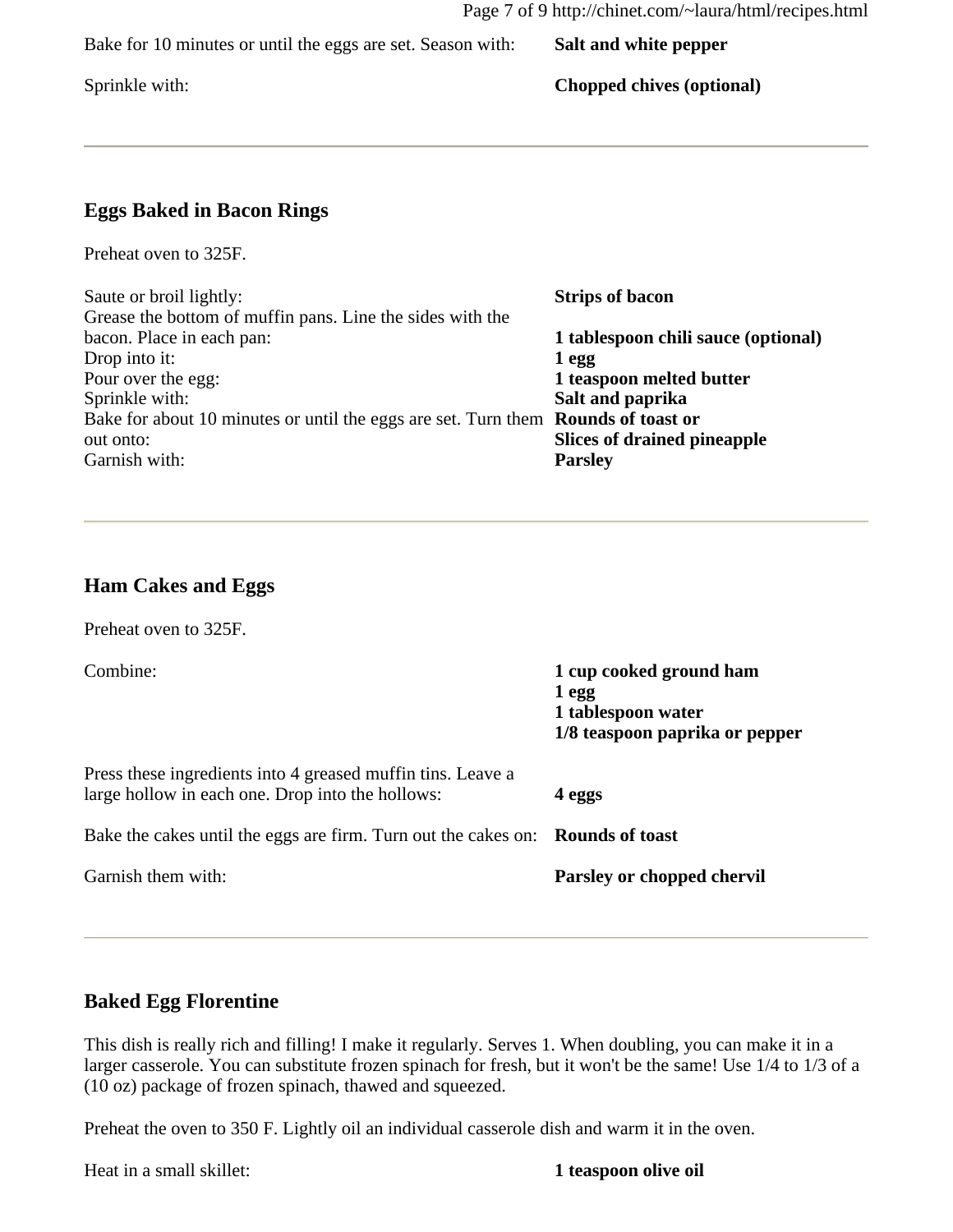Bake for 10 minutes or until the eggs are set. Season with: **Salt and white pepper**

Sprinkle with: **Chopped chives (optional)** 

#### **Eggs Baked in Bacon Rings**

Preheat oven to 325F.

| <b>Strips of bacon</b>                                                            |
|-----------------------------------------------------------------------------------|
|                                                                                   |
| 1 tablespoon chili sauce (optional)                                               |
| 1 egg                                                                             |
| 1 teaspoon melted butter                                                          |
| Salt and paprika                                                                  |
| Bake for about 10 minutes or until the eggs are set. Turn them Rounds of toast or |
| <b>Slices of drained pineapple</b>                                                |
| <b>Parsley</b>                                                                    |
|                                                                                   |

#### **Ham Cakes and Eggs**

Preheat oven to 325F.

Combine: **1 cup cooked ground ham 1 egg 1 tablespoon water 1/8 teaspoon paprika or pepper** Press these ingredients into 4 greased muffin tins. Leave a large hollow in each one. Drop into the hollows: **4 eggs** Bake the cakes until the eggs are firm. Turn out the cakes on: **Rounds of toast** Garnish them with: **Parsley or chopped chervil** 

#### **Baked Egg Florentine**

This dish is really rich and filling! I make it regularly. Serves 1. When doubling, you can make it in a larger casserole. You can substitute frozen spinach for fresh, but it won't be the same! Use 1/4 to 1/3 of a (10 oz) package of frozen spinach, thawed and squeezed.

Preheat the oven to 350 F. Lightly oil an individual casserole dish and warm it in the oven.

Heat in a small skillet: **1 teaspoon olive oil**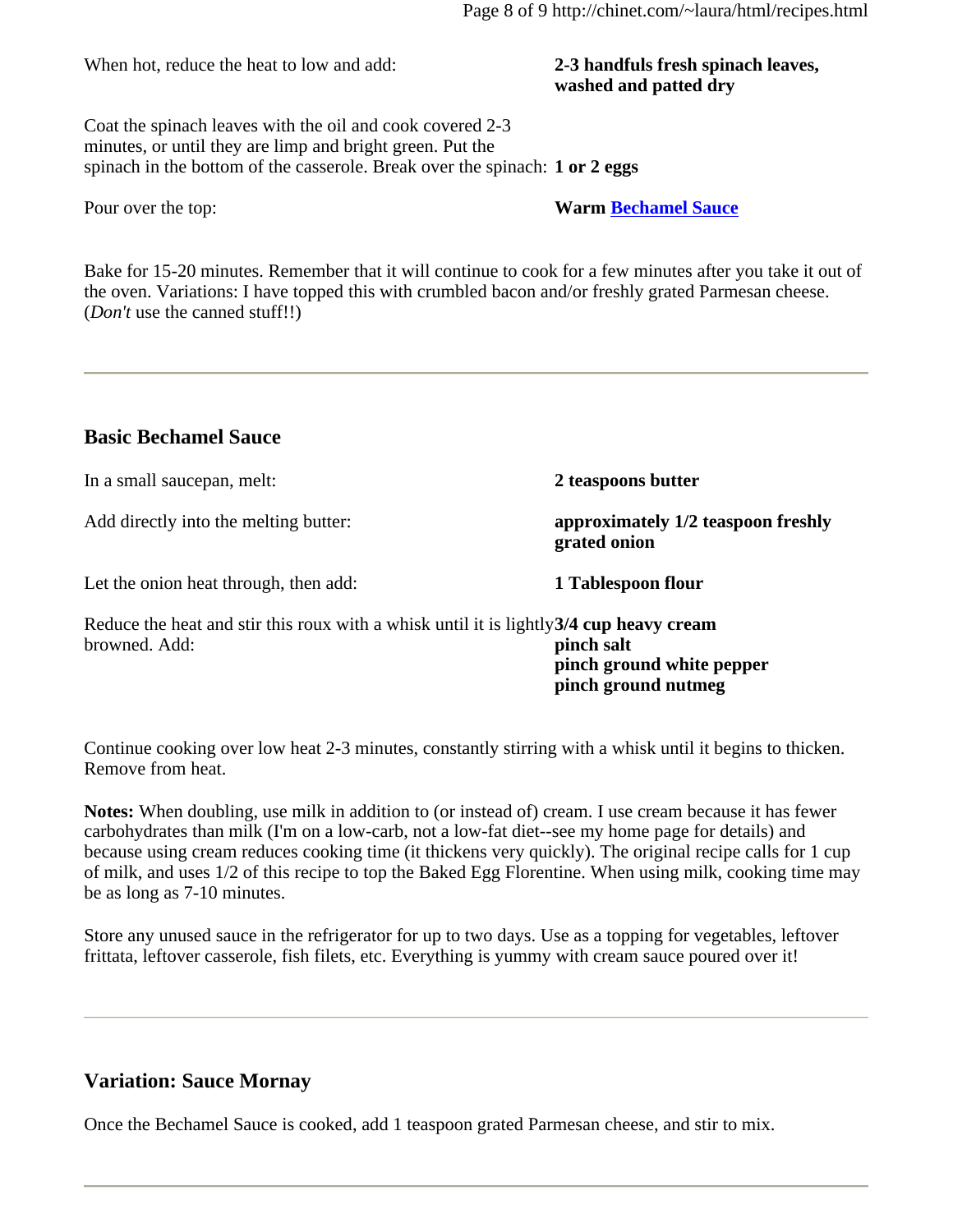When hot, reduce the heat to low and add: **2-3 handfuls fresh spinach leaves,** 

# **washed and patted dry**

Coat the spinach leaves with the oil and cook covered 2-3 minutes, or until they are limp and bright green. Put the spinach in the bottom of the casserole. Break over the spinach: **1 or 2 eggs**

Pour over the top: **Warm Bechamel Sauce**

Bake for 15-20 minutes. Remember that it will continue to cook for a few minutes after you take it out of the oven. Variations: I have topped this with crumbled bacon and/or freshly grated Parmesan cheese. (*Don't* use the canned stuff!!)

#### **Basic Bechamel Sauce**

| In a small saucepan, melt:                                                                               | 2 teaspoons butter                                             |
|----------------------------------------------------------------------------------------------------------|----------------------------------------------------------------|
| Add directly into the melting butter:                                                                    | approximately 1/2 teaspoon freshly<br>grated onion             |
| Let the onion heat through, then add:                                                                    | 1 Tablespoon flour                                             |
| Reduce the heat and stir this roux with a whisk until it is lightly 3/4 cup heavy cream<br>browned. Add: | pinch salt<br>pinch ground white pepper<br>pinch ground nutmeg |

Continue cooking over low heat 2-3 minutes, constantly stirring with a whisk until it begins to thicken. Remove from heat.

**Notes:** When doubling, use milk in addition to (or instead of) cream. I use cream because it has fewer carbohydrates than milk (I'm on a low-carb, not a low-fat diet--see my home page for details) and because using cream reduces cooking time (it thickens very quickly). The original recipe calls for 1 cup of milk, and uses 1/2 of this recipe to top the Baked Egg Florentine. When using milk, cooking time may be as long as 7-10 minutes.

Store any unused sauce in the refrigerator for up to two days. Use as a topping for vegetables, leftover frittata, leftover casserole, fish filets, etc. Everything is yummy with cream sauce poured over it!

#### **Variation: Sauce Mornay**

Once the Bechamel Sauce is cooked, add 1 teaspoon grated Parmesan cheese, and stir to mix.